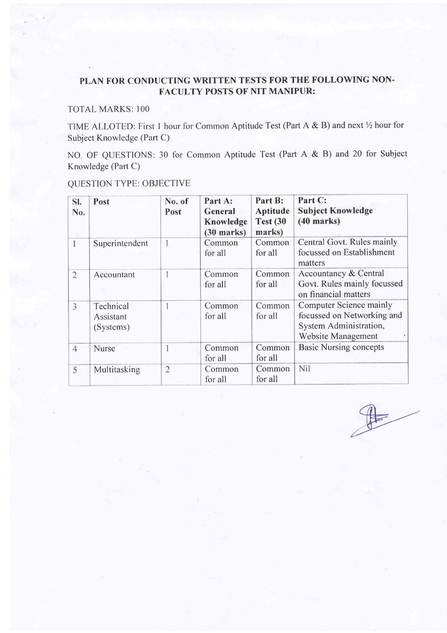# PLAN FOR CONDUCTING WRITTEN TESTS FOR THE FOLLOWING NON. FACULTY POSTS OF NIT MANIPUR:

# TOTAL MARKS: 100

TIME ALLOTED: First 1 hour for Common Aptitude Test (Part A & B) and next  $\frac{1}{2}$  hour for Subject Knowledge (Part C)

NO. OF QUESTIONS: 30 for Common Aptitude Test (Part A & B) and 20 for Subject Knowledge (Part C)

| SI.<br>No.     | Post                                | No. of<br>Post | Part A:<br>General<br>Knowledge<br>$(30$ marks) | Part B:<br><b>Aptitude</b><br><b>Test (30)</b><br>marks) | Part C:<br><b>Subject Knowledge</b><br>$(40$ marks)                                                          |
|----------------|-------------------------------------|----------------|-------------------------------------------------|----------------------------------------------------------|--------------------------------------------------------------------------------------------------------------|
|                | Superintendent                      |                | Common<br>for all                               | Common<br>for all                                        | Central Govt. Rules mainly<br>focussed on Establishment<br>matters                                           |
| $\overline{2}$ | Accountant                          |                | Common<br>for all                               | Common<br>for all                                        | Accountancy & Central<br>Govt. Rules mainly focussed<br>on financial matters                                 |
| $\overline{3}$ | Technical<br>Assistant<br>(Systems) |                | Common<br>for all                               | Common<br>for all                                        | <b>Computer Science mainly</b><br>focussed on Networking and<br>System Administration,<br>Website Management |
| $\overline{4}$ | <b>Nurse</b>                        |                | Common<br>for all                               | Common<br>for all                                        | <b>Basic Nursing concepts</b>                                                                                |
| 5              | Multitasking                        | $\overline{2}$ | Common<br>for all                               | Common<br>for all                                        | Nil                                                                                                          |

# QUESTION TYPE: OBJECTIVE

 $\begin{picture}(220,20) \put(0,0){\line(1,0){10}} \put(15,0){\line(1,0){10}} \put(15,0){\line(1,0){10}} \put(15,0){\line(1,0){10}} \put(15,0){\line(1,0){10}} \put(15,0){\line(1,0){10}} \put(15,0){\line(1,0){10}} \put(15,0){\line(1,0){10}} \put(15,0){\line(1,0){10}} \put(15,0){\line(1,0){10}} \put(15,0){\line(1,0){10}} \put(15,0){\line($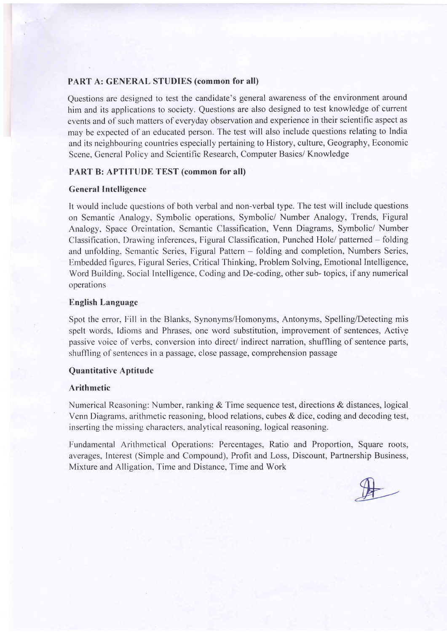# PART A: GENERAL STUDIES (common for all)

Questions are designed to test the candidate's general awareness of the environment around him and its applications to society. Questions are also designed to test knowledge of current events and of such matters of everyday observation and experience in their scientific aspect as may be expected of an educated person. The test will also include questions relating to India and its neighbouring countries especially pertaining to History, culture, Geography, Economic Scene, General Policy and Scientific Research, Computer Basics/ Knowledge

# PART B: APTITUDE TEST (common for all)

## General Intelligence

It would include questions of both verbal and non-verbal type.The test will include questions on Semantic Analogy, Symbolic operations, Symbolic/ Number Analogy, Trends, Figural Analogy, Space Oreintation, Semantic Classification, Venn Diagrams, Symbolic/ Number Classification, Drawing inferences, Figural Classification, Punched Hole/ patterned - folding and unfolding, Semantic Series, Figural Pattern - folding and completion, Numbers Series, Embedded figures, Figural Series, Critical Thinking, Problem Solving, Emotional Intelligence, Word Building. Social Intelligence, Coding and De-coding, other sub- topics, if any numerical operations

# **English Language**

Spot the error, Fill in the Blanks, Synonyms/Homonyms, Antonyms, Spelling/Detecting mis spelt words, Idioms and Phrases, one word substitution, improvement of sentences, Active passive voice of verbs, conversion into direct/ indirect narration, shuffling of sentence parts, shuffling of sentenccs in a passage, close passage, comprehension passage

# Quantitative Aptitude

#### Arithmetic

Numerical Reasoning: Number, ranking & Time sequence test, directions & distances, logical Venn Diagrams, arithmetic reasoning, blood relations, cubes & dice, coding and decoding test, inserting the missing characters, analytical reasoning, logical reasoning.

Fundamental Arithmetical Operations: Percentages, Ratio and Proportion, Square roots, averages, Interest (Simple and Compound), Profit and Loss, Discount, Partnership Business, Mixture and Alligation, Time and Distance, Time and Work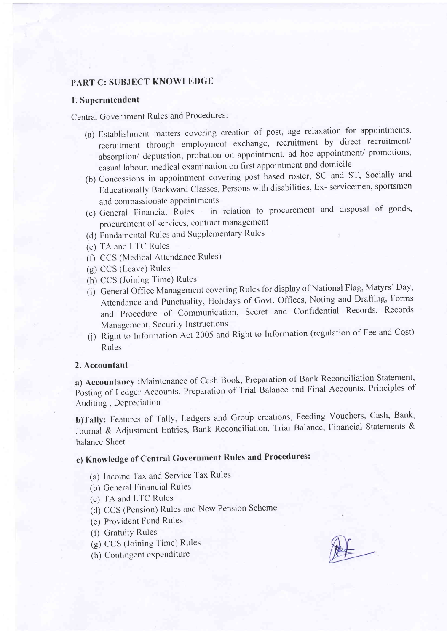# PART C: SUBJECT KNOWLEDGE

#### 1. Superintendent

Central Government Rules and Procedures:

- (a) Establishment matters covering creation of post, age relaxation for appointments, recruitment through employment exchange, recruitment by direct recruitment/ absorption/ deputation, probation on appointment, ad hoc appointment/ promotions, casual labour, medical examination on first appointment and domicile
- (b) Concessions in appointment covering post based roster, SC and ST, Socially and Educationally Backward Classes, Persons with disabilities, Ex- servicemen, sportsmen and compassionate appointments
- (c) General Financial Rules in relation to procurement and disposal of goods, procurement of services, contract management
- (d) Fundamental Rules and Supplementary Rules
- (e) TA and LTC Rules
- (f) CCS (Medical Attendance Rules)
- (g) CCS (Leave) Rules
- (h) CCS (Joining Time) Rules
- (i) General Office Management covering Rules for display of National Flag, Matyrs' Day, Attendance and Punctuality, Holidays of Govt. Offices, Noting and Drafting, Forms and Procedure of Communication, Secret and Confidential Records, Records Management, Security Instructions
- (j) Right to Information Act 2005 and Right to Information (regulation of Fee and Cost) Rules

# 2. Accountant

a) Accountancy: Maintenance of Cash Book, Preparation of Bank Reconciliation Statement, Posting of Ledger Accounts, Preparation of Trial Balance and Final Accounts, Principles of Auditing, Depreciation

b)Tally: Features of Tally, Ledgers and Group creations, Feeding Vouchers, Cash, Bank, Journal & Adjustment Entries, Bank Reconciliation, Trial Balance, Financial Statements & balance Sheet

# c) Knowledge of Central Government Rules and Procedures:

- (a) Income Tax and Service Tax Rules
- (b) General Financial Rules
- (c) TA and LTC Rules
- (d) CCS (Pension) Rules and New Pension Scheme
- (e) Provident Fund Rules
- (f) Gratuity Rules
- (g) CCS (Joining Time) Rules
- (h) Contingent expenditure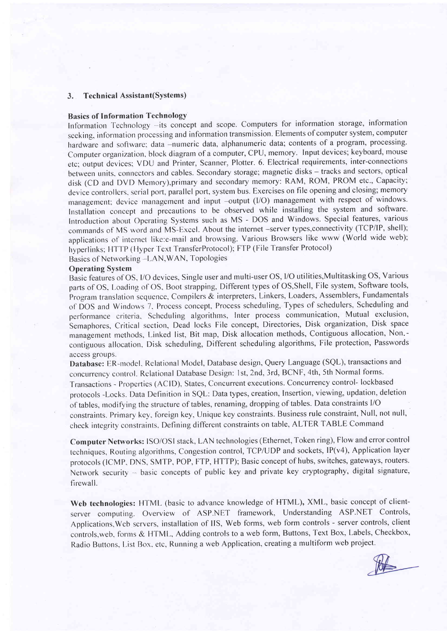#### 3. Technical Assistant(Systems)

#### Basics of Information TechnologY

Information Technology -its concept and scope. Computers for information storage, information seeking, information processing and information transmission. Elements of computer system, computer hardware and software; data -numeric data, alphanumeric data; contents of a program, processing. Computer organization, block diagram of a computer, CPU, memory. Input devices; keyboard, mouse etc; output devices; VDU and Printer, Scanner, Plotter. 6. Electrical requirements, inter-connections between units, connectors and cables. Secondary storage; magnetic disks - tracks and sectors, optical disk (CD and DVD Memory),primary and secondary memory: RAM, ROM, PROM etc., Capacity; device controllers. serial port, parallel port, system bus. Exercises on file opening and closing; memory management; device management and input -output (I/O) management with respect of windows. Installation concept and precautions to be observed while installing the system and software. Introduction about Operating Systems such as MS - DOS and Windows. Special features, various commands of MS word and MS-Excel. About the internet -server types, connectivity (TCP/IP, shell); applications of internet like:e-mail and browsing. Various Browsers like www (World wide web); hyperlinks; HTTP (Hyper Text TransferProtocol); FTP (File Transfer Protocol)

Basics of Networking - LAN, WAN, Topologies

#### Operating System

Basic features of OS, I/O devices, Single user and multi-user OS, I/O utilities, Multitasking OS, Various parts of OS, Loading of OS, Boot strapping, Different types of OS, Shell, File system, Software tools, Program translation sequence, Compilers & interpreters, Linkers, Loaders, Assemblers, Fundamentals of DOS and Windows 7, Process concept, Process scheduling, Types of schedulers, Scheduling and performance criteria. Scheduling algorithms, Inter process communication, Mutual exclusion, Semaphores, Critical section, Dead locks File concept, Directories, Disk organization, Disk space management methods, Linked list, Bit map, Disk allocation methods, Contiguous allocation, Non.contiguous allocation, Disk scheduling, Different scheduling algorithms, File protection, Passwords access groups.

Database: ER-model. Relational Model, Database design, Query Language (SQL), transactions and concurrency control. Relational Database Design: 1st, 2nd, 3rd, BCNF, 4th, 5th Normal forms. Transactions - Properties (ACID), States, Concurrent executions. Concurrency control- lockbased protocols -Locks. Data Definition in SQL: Data types, creation, Insertion, viewing, updation, deletion of tables, modifying the structure of tables, renaming, dropping of tables. Data constraints I/O constraints. Primary key, foreign key, Unique key constraints. Business rule constraint, Null, not null, check integrity constraints, Defining different constraints on table, ALTER TABLE Command

Computer Nefworks: ISO/OSI stack. LAN technologies (Ethernet, Token ring), Flow and error control techniques, Routing algorithms, Congestion control, TCP/UDP and sockets, IP(v4), Application layer protocols (ICMP, DNS, SMTP, POP, FTP, HTTP); Basic concept of hubs, switches, gateways, routers. Network security - basic concepts of public key and private key cryptography, digital signature, firewall.

Web technologies: HTML (basic to advance knowledge of HTML), XML, basic concept of clientserver computing. Overview of ASP.NET framework, Understanding ASP.NET Controls, Applications, Web servers, installation of IIS, Web forms, web form controls - server controls, client controls, web, forms & HTML, Adding controls to a web form, Buttons, Text Box, Labels, Checkbox, Radio Buttons, List Box. etc, Running a web Application, creating a multiform web project.

 $\frac{1}{2}$